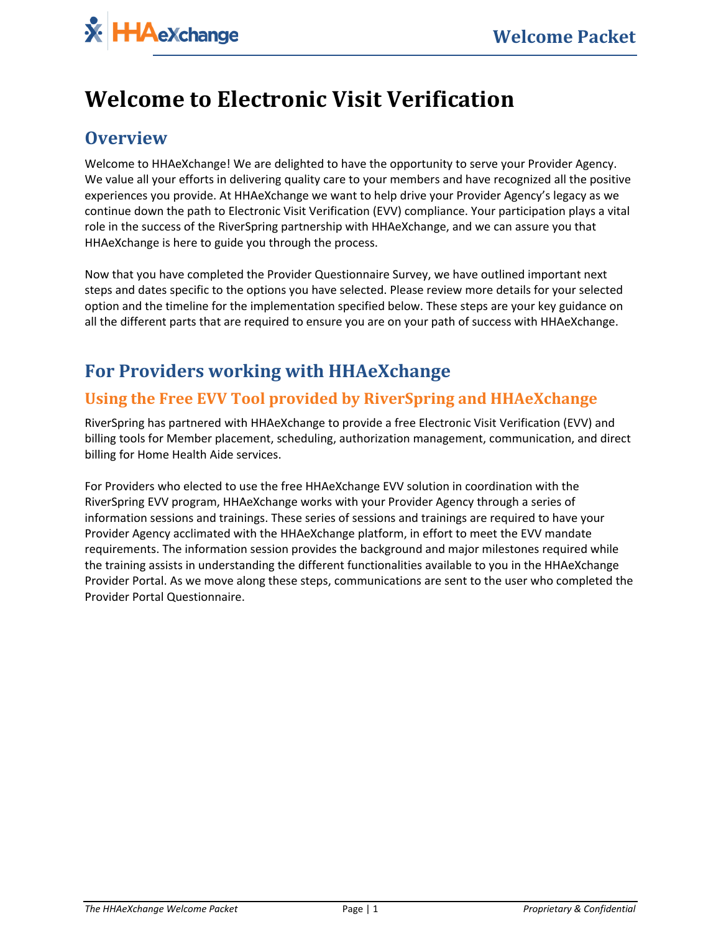# **Welcome to Electronic Visit Verification**

## **Overview**

Welcome to HHAeXchange! We are delighted to have the opportunity to serve your Provider Agency. We value all your efforts in delivering quality care to your members and have recognized all the positive experiences you provide. At HHAeXchange we want to help drive your Provider Agency's legacy as we continue down the path to Electronic Visit Verification (EVV) compliance. Your participation plays a vital role in the success of the RiverSpring partnership with HHAeXchange, and we can assure you that HHAeXchange is here to guide you through the process.

Now that you have completed the Provider Questionnaire Survey, we have outlined important next steps and dates specific to the options you have selected. Please review more details for your selected option and the timeline for the implementation specified below. These steps are your key guidance on all the different parts that are required to ensure you are on your path of success with HHAeXchange.

# **For Providers working with HHAeXchange**

#### **Using the Free EVV Tool provided by RiverSpring and HHAeXchange**

RiverSpring has partnered with HHAeXchange to provide a free Electronic Visit Verification (EVV) and billing tools for Member placement, scheduling, authorization management, communication, and direct billing for Home Health Aide services.

For Providers who elected to use the free HHAeXchange EVV solution in coordination with the RiverSpring EVV program, HHAeXchange works with your Provider Agency through a series of information sessions and trainings. These series of sessions and trainings are required to have your Provider Agency acclimated with the HHAeXchange platform, in effort to meet the EVV mandate requirements. The information session provides the background and major milestones required while the training assists in understanding the different functionalities available to you in the HHAeXchange Provider Portal. As we move along these steps, communications are sent to the user who completed the Provider Portal Questionnaire.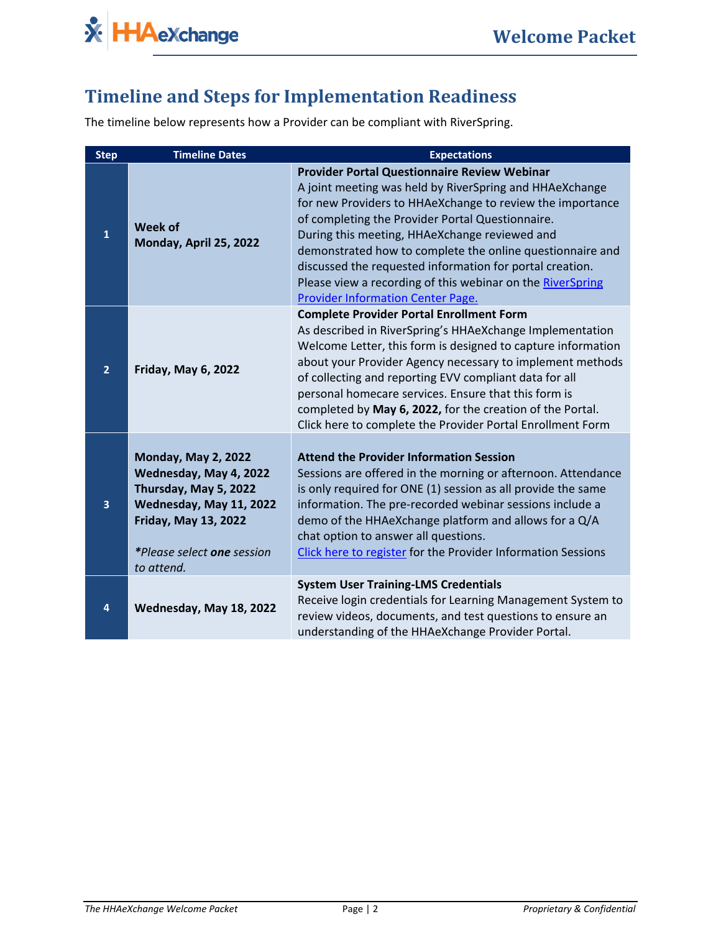

### **Timeline and Steps for Implementation Readiness**

The timeline below represents how a Provider can be compliant with RiverSpring.

| <b>Step</b>    | <b>Timeline Dates</b>                                                                                                                                                               | <b>Expectations</b>                                                                                                                                                                                                                                                                                                                                                                                                                                                                                          |  |  |
|----------------|-------------------------------------------------------------------------------------------------------------------------------------------------------------------------------------|--------------------------------------------------------------------------------------------------------------------------------------------------------------------------------------------------------------------------------------------------------------------------------------------------------------------------------------------------------------------------------------------------------------------------------------------------------------------------------------------------------------|--|--|
| 1              | Week of<br>Monday, April 25, 2022                                                                                                                                                   | <b>Provider Portal Questionnaire Review Webinar</b><br>A joint meeting was held by RiverSpring and HHAeXchange<br>for new Providers to HHAeXchange to review the importance<br>of completing the Provider Portal Questionnaire.<br>During this meeting, HHAeXchange reviewed and<br>demonstrated how to complete the online questionnaire and<br>discussed the requested information for portal creation.<br>Please view a recording of this webinar on the RiverSpring<br>Provider Information Center Page. |  |  |
| $\overline{2}$ | <b>Friday, May 6, 2022</b>                                                                                                                                                          | <b>Complete Provider Portal Enrollment Form</b><br>As described in RiverSpring's HHAeXchange Implementation<br>Welcome Letter, this form is designed to capture information<br>about your Provider Agency necessary to implement methods<br>of collecting and reporting EVV compliant data for all<br>personal homecare services. Ensure that this form is<br>completed by May 6, 2022, for the creation of the Portal.<br>Click here to complete the Provider Portal Enrollment Form                        |  |  |
| 3              | <b>Monday, May 2, 2022</b><br>Wednesday, May 4, 2022<br>Thursday, May 5, 2022<br>Wednesday, May 11, 2022<br><b>Friday, May 13, 2022</b><br>*Please select one session<br>to attend. | <b>Attend the Provider Information Session</b><br>Sessions are offered in the morning or afternoon. Attendance<br>is only required for ONE (1) session as all provide the same<br>information. The pre-recorded webinar sessions include a<br>demo of the HHAeXchange platform and allows for a Q/A<br>chat option to answer all questions.<br>Click here to register for the Provider Information Sessions                                                                                                  |  |  |
| 4              | Wednesday, May 18, 2022                                                                                                                                                             | <b>System User Training-LMS Credentials</b><br>Receive login credentials for Learning Management System to<br>review videos, documents, and test questions to ensure an<br>understanding of the HHAeXchange Provider Portal.                                                                                                                                                                                                                                                                                 |  |  |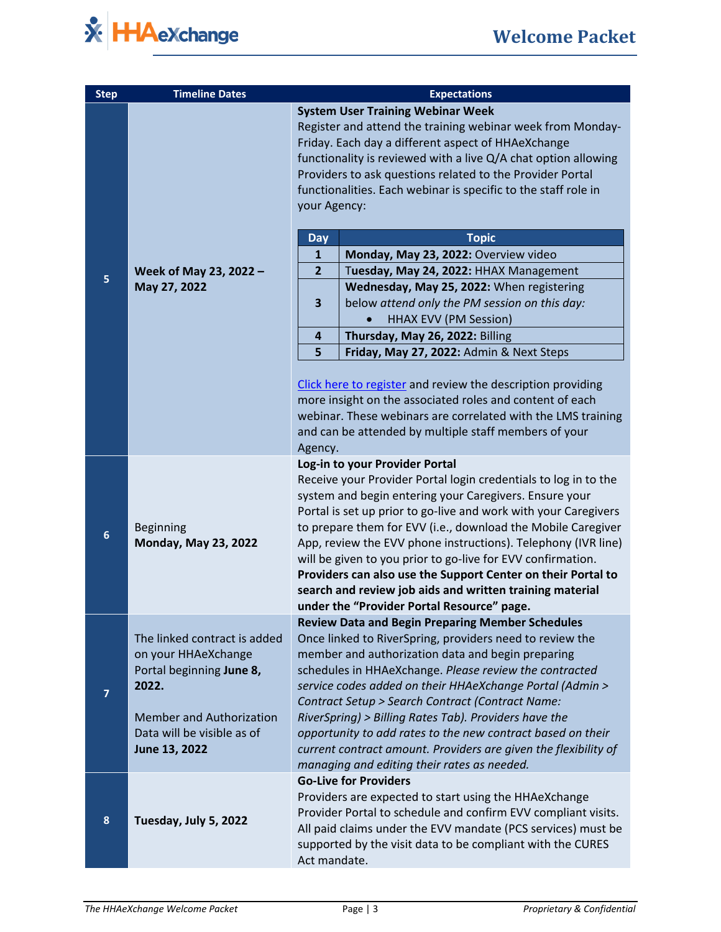

| <b>Step</b>      | <b>Timeline Dates</b>                                                                                                                                                      | <b>Expectations</b>                                                                                                                                                                                                                                                                                                                                                                                                                                                                                                                                                                                      |                                                                                                                            |  |
|------------------|----------------------------------------------------------------------------------------------------------------------------------------------------------------------------|----------------------------------------------------------------------------------------------------------------------------------------------------------------------------------------------------------------------------------------------------------------------------------------------------------------------------------------------------------------------------------------------------------------------------------------------------------------------------------------------------------------------------------------------------------------------------------------------------------|----------------------------------------------------------------------------------------------------------------------------|--|
|                  | Week of May 23, 2022 -<br>May 27, 2022                                                                                                                                     | <b>System User Training Webinar Week</b><br>Register and attend the training webinar week from Monday-<br>Friday. Each day a different aspect of HHAeXchange<br>functionality is reviewed with a live Q/A chat option allowing<br>Providers to ask questions related to the Provider Portal<br>functionalities. Each webinar is specific to the staff role in<br>your Agency:                                                                                                                                                                                                                            |                                                                                                                            |  |
|                  |                                                                                                                                                                            | <b>Day</b>                                                                                                                                                                                                                                                                                                                                                                                                                                                                                                                                                                                               | <b>Topic</b>                                                                                                               |  |
|                  |                                                                                                                                                                            | $\mathbf{1}$                                                                                                                                                                                                                                                                                                                                                                                                                                                                                                                                                                                             | Monday, May 23, 2022: Overview video                                                                                       |  |
| 5                |                                                                                                                                                                            | $\overline{2}$                                                                                                                                                                                                                                                                                                                                                                                                                                                                                                                                                                                           | Tuesday, May 24, 2022: HHAX Management                                                                                     |  |
|                  |                                                                                                                                                                            | 3                                                                                                                                                                                                                                                                                                                                                                                                                                                                                                                                                                                                        | Wednesday, May 25, 2022: When registering<br>below attend only the PM session on this day:<br><b>HHAX EVV (PM Session)</b> |  |
|                  |                                                                                                                                                                            | 4                                                                                                                                                                                                                                                                                                                                                                                                                                                                                                                                                                                                        | Thursday, May 26, 2022: Billing                                                                                            |  |
|                  |                                                                                                                                                                            | 5                                                                                                                                                                                                                                                                                                                                                                                                                                                                                                                                                                                                        | Friday, May 27, 2022: Admin & Next Steps                                                                                   |  |
|                  |                                                                                                                                                                            | Click here to register and review the description providing<br>more insight on the associated roles and content of each<br>webinar. These webinars are correlated with the LMS training<br>and can be attended by multiple staff members of your<br>Agency.                                                                                                                                                                                                                                                                                                                                              |                                                                                                                            |  |
| $\boldsymbol{6}$ | <b>Beginning</b><br><b>Monday, May 23, 2022</b>                                                                                                                            | Log-in to your Provider Portal<br>Receive your Provider Portal login credentials to log in to the<br>system and begin entering your Caregivers. Ensure your<br>Portal is set up prior to go-live and work with your Caregivers<br>to prepare them for EVV (i.e., download the Mobile Caregiver<br>App, review the EVV phone instructions). Telephony (IVR line)<br>will be given to you prior to go-live for EVV confirmation.<br>Providers can also use the Support Center on their Portal to<br>search and review job aids and written training material<br>under the "Provider Portal Resource" page. |                                                                                                                            |  |
| $\overline{7}$   | The linked contract is added<br>on your HHAeXchange<br>Portal beginning June 8,<br>2022.<br><b>Member and Authorization</b><br>Data will be visible as of<br>June 13, 2022 | <b>Review Data and Begin Preparing Member Schedules</b><br>Once linked to RiverSpring, providers need to review the<br>member and authorization data and begin preparing<br>schedules in HHAeXchange. Please review the contracted<br>service codes added on their HHAeXchange Portal (Admin ><br>Contract Setup > Search Contract (Contract Name:<br>RiverSpring) > Billing Rates Tab). Providers have the<br>opportunity to add rates to the new contract based on their<br>current contract amount. Providers are given the flexibility of<br>managing and editing their rates as needed.             |                                                                                                                            |  |
| 8                | Tuesday, July 5, 2022                                                                                                                                                      | <b>Go-Live for Providers</b><br>Providers are expected to start using the HHAeXchange<br>Provider Portal to schedule and confirm EVV compliant visits.<br>All paid claims under the EVV mandate (PCS services) must be<br>supported by the visit data to be compliant with the CURES<br>Act mandate.                                                                                                                                                                                                                                                                                                     |                                                                                                                            |  |